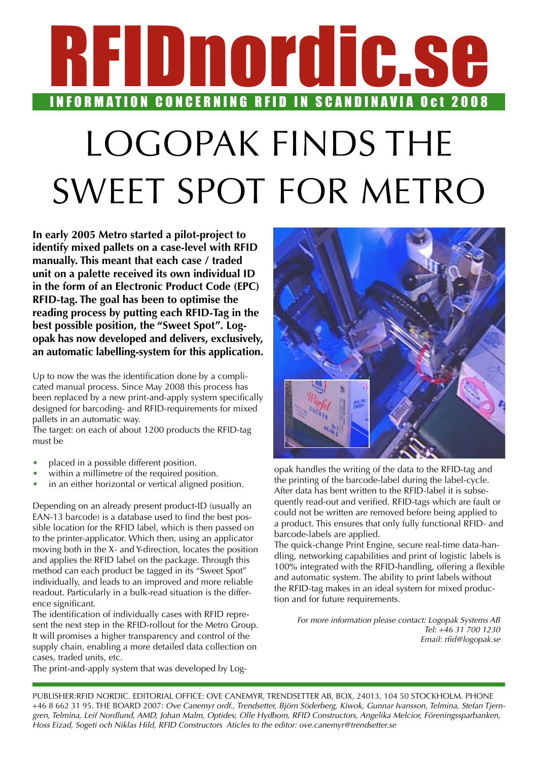# <span id="page-0-0"></span>RFIDnordic.se INFORMATION CONCERNING RFID IN SCANDINAVIA Oct 2008

# Logopak finds the SWEET SPOT FOR METRO

**In early 2005 Metro started a pilot-project to identify mixed pallets on a case-level with RFID manually. This meant that each case / traded unit on a palette received its own individual ID in the form of an Electronic Product Code (EPC) RFID-tag. The goal has been to optimise the reading process by putting each RFID-Tag in the best possible position, the "Sweet Spot". Logopak has now developed and delivers, exclusively, an automatic labelling-system for this application.**

Up to now the was the identification done by a complicated manual process. Since May 2008 this process has been replaced by a new print-and-apply system specifically designed for barcoding- and RFID-requirements for mixed pallets in an automatic way.

The target: on each of about 1200 products the RFID-tag must be

- placed in a possible different position.
- within a millimetre of the required position.
- in an either horizontal or vertical aligned position.

Depending on an already present product-ID (usually an EAN-13 barcode) is a database used to find the best possible location for the RFID label, which is then passed on to the printer-applicator. Which then, using an applicator moving both in the X- and Y-direction, locates the position and applies the RFID label on the package. Through this method can each product be tagged in its "Sweet Spot" individually, and leads to an improved and more reliable readout. Particularly in a bulk-read situation is the difference significant.

The identification of individually cases with RFID represent the next step in the RFID-rollout for the Metro Group. It will promises a higher transparency and control of the supply chain, enabling a more detailed data collection on cases, traded units, etc.

The print-and-apply system that was developed by Log-



opak handles the writing of the data to the RFID-tag and the printing of the barcode-label during the label-cycle. After data has bent written to the RFID-label it is subsequently read-out and verified. RFID-tags which are fault or could not be written are removed before being applied to a product. This ensures that only fully functional RFID- and barcode-labels are applied.

The quick-change Print Engine, secure real-time data-handling, networking capabilities and print of logistic labels is 100% integrated with the RFID-handling, offering a flexible and automatic system. The ability to print labels without the RFID-tag makes in an ideal system for mixed production and for future requirements.

*For more information please contact: Logopak Systems AB Tel: +46 31 700 1230 Email: rfid@logopak.se*

Publisher:RFID Nordic. Editorial office: Ove Canemyr, Trendsetter AB, Box, 24013, 104 50 Stockholm. Phone +46 8 662 31 95. THE BOARD 2007: Ove Canemyr ordf., Trendsetter, Björn Söderberg, Kiwok, Gunnar Ivansson, Telmina, Stefan Tjern*gren, Telmina, Leif Nordlund, AMD, Johan Malm, Optidev, Olle Hydbom, RFID Constructors, Angelika Melcior, Föreningssparbanken, Hoss Eizad, Sogeti och Niklas Hild, RFID Constructors Aticles to the editor: ove.canemyr@trendsetter.se*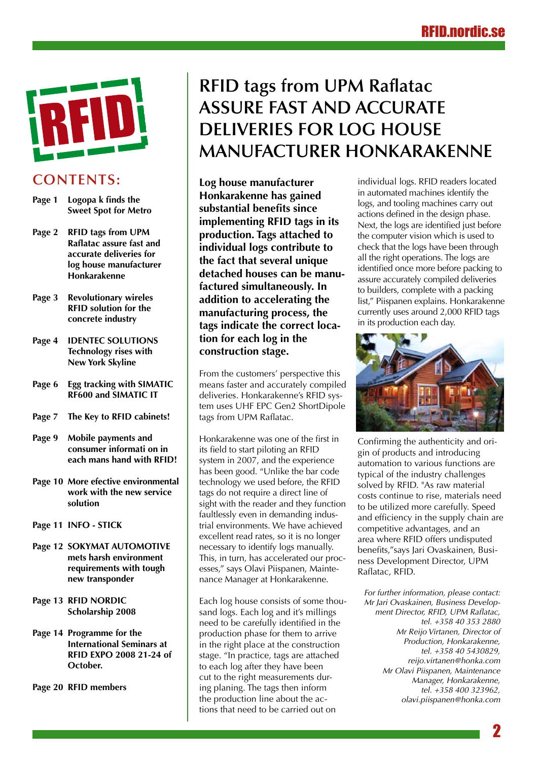

## **contents:**

- **Page 1 [Logopa k finds the](#page-0-0) [Sweet Spot for Metro](#page-0-0)**
- **Page 2 RFID tags from UPM Raflatac assure fast and accurate deliveries for log house manufacturer Honkarakenne**
- **Page 3 [Revolutionary wireles](#page-2-0) [RFID solution for the](#page-2-0) [concrete industry](#page-2-0)**
- **Page 4 [IDENTEC SOLUTIONS](#page-3-0) [Technology rises with](#page-3-0) [New York Skyline](#page-3-0)**
- **Page 6 [Egg tracking with SIMATIC](#page-5-0)  [RF600 and SIMATIC IT](#page-5-0)**
- **Page 7 [The Key to RFID cabinets!](#page-6-0)**
- **Page 9 [Mobile payments and](#page-8-0)  [consumer informati on in](#page-8-0)  [each mans hand with RFID!](#page-8-0)**
- **Page 10 [More efective environmental](#page-9-0)  [work with the new service](#page-9-0)  [solution](#page-9-0)**
- **Page 11 [INFO STICK](#page-10-0)**
- **Page 12 [SOKYMAT AUTOMOTIVE](#page-11-0)  [mets harsh environment](#page-11-0)  [requirements with tough](#page-11-0) [new transponder](#page-11-0)**
- **Page 13 [RFID NORDIC](#page-12-0) [Scholarship 2008](#page-12-0)**
- **Page 14 [Programme for the](#page-13-0)  [International Seminars at](#page-13-0)  [RFID EXPO 2008 21-24 of](#page-13-0) [October.](#page-13-0)**
- **Page 20 [RFID members](#page-19-0)**

# **RFID tags from UPM Raflatac assure fast and accurate deliveries for log house manufacturer Honkarakenne**

**Log house manufacturer Honkarakenne has gained substantial benefits since implementing RFID tags in its production. Tags attached to individual logs contribute to the fact that several unique detached houses can be manufactured simultaneously. In addition to accelerating the manufacturing process, the tags indicate the correct location for each log in the construction stage.** 

From the customers' perspective this means faster and accurately compiled deliveries. Honkarakenne's RFID system uses UHF EPC Gen2 ShortDipole tags from UPM Raflatac.

Honkarakenne was one of the first in its field to start piloting an RFID system in 2007, and the experience has been good. "Unlike the bar code technology we used before, the RFID tags do not require a direct line of sight with the reader and they function faultlessly even in demanding industrial environments. We have achieved excellent read rates, so it is no longer necessary to identify logs manually. This, in turn, has accelerated our processes," says Olavi Piispanen, Maintenance Manager at Honkarakenne.

Each log house consists of some thousand logs. Each log and it's millings need to be carefully identified in the production phase for them to arrive in the right place at the construction stage. "In practice, tags are attached to each log after they have been cut to the right measurements during planing. The tags then inform the production line about the actions that need to be carried out on

individual logs. RFID readers located in automated machines identify the logs, and tooling machines carry out actions defined in the design phase. Next, the logs are identified just before the computer vision which is used to check that the logs have been through all the right operations. The logs are identified once more before packing to assure accurately compiled deliveries to builders, complete with a packing list," Piispanen explains. Honkarakenne currently uses around 2,000 RFID tags in its production each day.



Confirming the authenticity and origin of products and introducing automation to various functions are typical of the industry challenges solved by RFID. "As raw material costs continue to rise, materials need to be utilized more carefully. Speed and efficiency in the supply chain are competitive advantages, and an area where RFID offers undisputed benefits,"says Jari Ovaskainen, Business Development Director, UPM Raflatac, RFID.

*For further information, please contact: Mr Jari Ovaskainen, Business Development Director, RFID, UPM Raflatac, tel. +358 40 353 2880 Mr Reijo Virtanen, Director of Production, Honkarakenne, tel. +358 40 5430829, reijo.virtanen@honka.com Mr Olavi Piispanen, Maintenance Manager, Honkarakenne, tel. +358 400 323962, olavi.piispanen@honka.com*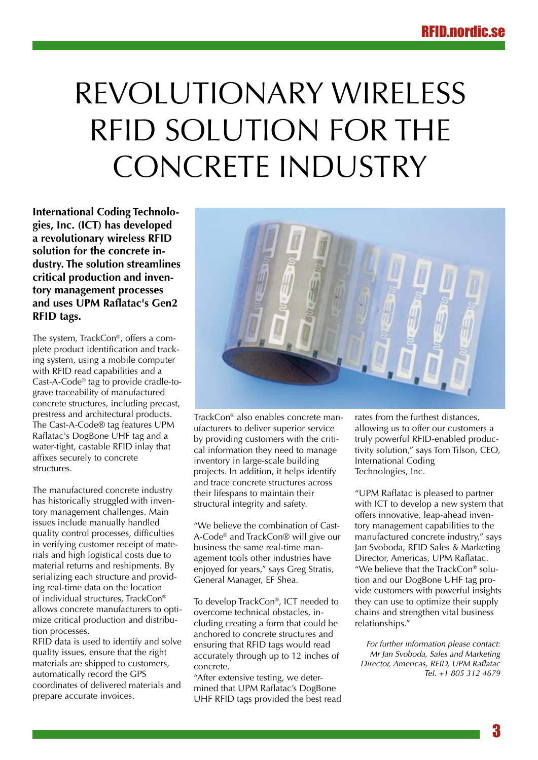# <span id="page-2-0"></span>Revolutionary wireless RFID solution for the concrete industry

**International Coding Technologies, Inc. (ICT) has developed a revolutionary wireless RFID solution for the concrete industry. The solution streamlines critical production and inventory management processes and uses UPM Raflatac's Gen2 RFID tags.**

The system, TrackCon®, offers a complete product identification and tracking system, using a mobile computer with RFID read capabilities and a Cast-A-Code® tag to provide cradle-tograve traceability of manufactured concrete structures, including precast, prestress and architectural products. The Cast-A-Code® tag features UPM Raflatac's DogBone UHF tag and a water-tight, castable RFID inlay that affixes securely to concrete structures.

The manufactured concrete industry has historically struggled with inventory management challenges. Main issues include manually handled quality control processes, difficulties in verifying customer receipt of materials and high logistical costs due to material returns and reshipments. By serializing each structure and providing real-time data on the location of individual structures, TrackCon® allows concrete manufacturers to optimize critical production and distribution processes.

RFID data is used to identify and solve quality issues, ensure that the right materials are shipped to customers, automatically record the GPS coordinates of delivered materials and prepare accurate invoices.



TrackCon® also enables concrete manufacturers to deliver superior service by providing customers with the critical information they need to manage inventory in large-scale building projects. In addition, it helps identify and trace concrete structures across their lifespans to maintain their structural integrity and safety.

"We believe the combination of Cast-A-Code® and TrackCon® will give our business the same real-time management tools other industries have enjoyed for years," says Greg Stratis, General Manager, EF Shea.

To develop TrackCon®, ICT needed to overcome technical obstacles, including creating a form that could be anchored to concrete structures and ensuring that RFID tags would read accurately through up to 12 inches of concrete.

"After extensive testing, we determined that UPM Raflatac's DogBone UHF RFID tags provided the best read rates from the furthest distances, allowing us to offer our customers a truly powerful RFID-enabled productivity solution," says Tom Tilson, CEO, International Coding Technologies, Inc.

"UPM Raflatac is pleased to partner with ICT to develop a new system that offers innovative, leap-ahead inventory management capabilities to the manufactured concrete industry," says Jan Svoboda, RFID Sales & Marketing Director, Americas, UPM Raflatac. "We believe that the TrackCon® solution and our DogBone UHF tag provide customers with powerful insights they can use to optimize their supply chains and strengthen vital business relationships."

*For further information please contact: Mr Jan Svoboda, Sales and Marketing Director, Americas, RFID, UPM Raflatac Tel. +1 805 312 4679*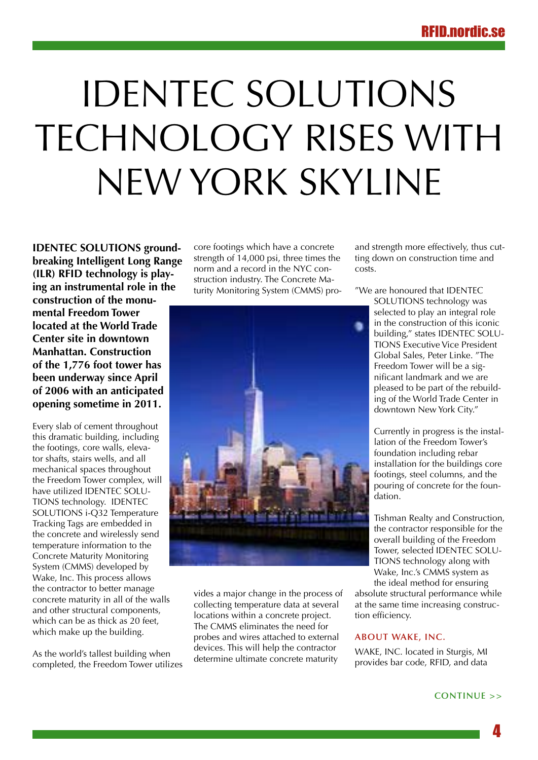# <span id="page-3-0"></span>IDENTEC SOLUTIONS TECHNOLOGY RISES WITH New York Skyline

**IDENTEC SOLUTIONS groundbreaking Intelligent Long Range (ILR) RFID technology is playing an instrumental role in the construction of the monumental Freedom Tower located at the World Trade Center site in downtown Manhattan. Construction of the 1,776 foot tower has been underway since April of 2006 with an anticipated opening sometime in 2011.**

Every slab of cement throughout this dramatic building, including the footings, core walls, elevator shafts, stairs wells, and all mechanical spaces throughout the Freedom Tower complex, will have utilized IDENTEC SOLU-TIONS technology. IDENTEC SOLUTIONS i-Q32 Temperature Tracking Tags are embedded in the concrete and wirelessly send temperature information to the Concrete Maturity Monitoring System (CMMS) developed by Wake, Inc. This process allows the contractor to better manage concrete maturity in all of the walls and other structural components, which can be as thick as 20 feet, which make up the building.

As the world's tallest building when completed, the Freedom Tower utilizes core footings which have a concrete strength of 14,000 psi, three times the norm and a record in the NYC construction industry. The Concrete Maturity Monitoring System (CMMS) pro-



vides a major change in the process of collecting temperature data at several locations within a concrete project. The CMMS eliminates the need for probes and wires attached to external devices. This will help the contractor determine ultimate concrete maturity

and strength more effectively, thus cutting down on construction time and costs.

"We are honoured that IDENTEC

SOLUTIONS technology was selected to play an integral role in the construction of this iconic building," states IDENTEC SOLU-TIONS Executive Vice President Global Sales, Peter Linke. "The Freedom Tower will be a significant landmark and we are pleased to be part of the rebuilding of the World Trade Center in downtown New York City."

Currently in progress is the installation of the Freedom Tower's foundation including rebar installation for the buildings core footings, steel columns, and the pouring of concrete for the foundation.

Tishman Realty and Construction, the contractor responsible for the overall building of the Freedom Tower, selected IDENTEC SOLU-TIONS technology along with Wake, Inc.'s CMMS system as the ideal method for ensuring

absolute structural performance while at the same time increasing construction efficiency.

#### **About Wake, Inc.**

WAKE, INC. located in Sturgis, MI provides bar code, RFID, and data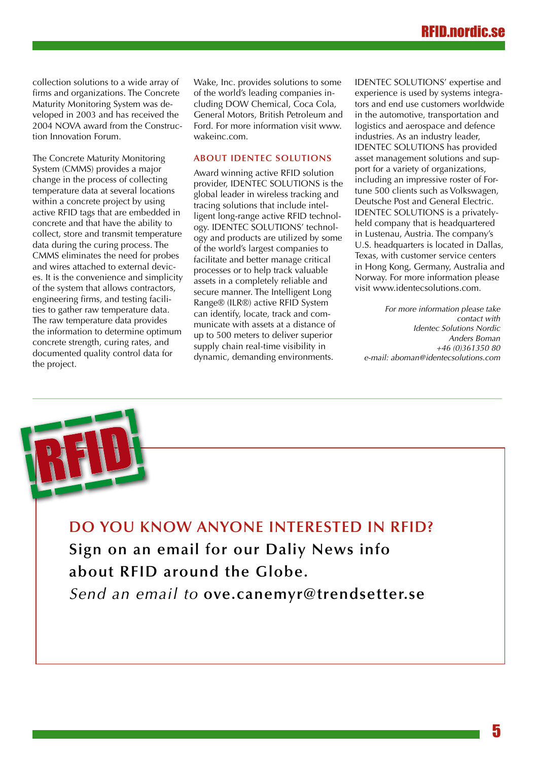collection solutions to a wide array of firms and organizations. The Concrete Maturity Monitoring System was developed in 2003 and has received the 2004 NOVA award from the Construction Innovation Forum.

The Concrete Maturity Monitoring System (CMMS) provides a major change in the process of collecting temperature data at several locations within a concrete project by using active RFID tags that are embedded in concrete and that have the ability to collect, store and transmit temperature data during the curing process. The CMMS eliminates the need for probes and wires attached to external devices. It is the convenience and simplicity of the system that allows contractors, engineering firms, and testing facilities to gather raw temperature data. The raw temperature data provides the information to determine optimum concrete strength, curing rates, and documented quality control data for the project.

Wake, Inc. provides solutions to some of the world's leading companies including DOW Chemical, Coca Cola, General Motors, British Petroleum and Ford. For more information visit www. wakeinc.com.

#### **About IDENTEC SOLUTIONS**

Award winning active RFID solution provider, IDENTEC SOLUTIONS is the global leader in wireless tracking and tracing solutions that include intelligent long-range active RFID technology. IDENTEC SOLUTIONS' technology and products are utilized by some of the world's largest companies to facilitate and better manage critical processes or to help track valuable assets in a completely reliable and secure manner. The Intelligent Long Range® (ILR®) active RFID System can identify, locate, track and communicate with assets at a distance of up to 500 meters to deliver superior supply chain real-time visibility in dynamic, demanding environments.

IDENTEC SOLUTIONS' expertise and experience is used by systems integrators and end use customers worldwide in the automotive, transportation and logistics and aerospace and defence industries. As an industry leader, IDENTEC SOLUTIONS has provided asset management solutions and support for a variety of organizations, including an impressive roster of Fortune 500 clients such as Volkswagen, Deutsche Post and General Electric. IDENTEC SOLUTIONS is a privatelyheld company that is headquartered in Lustenau, Austria. The company's U.S. headquarters is located in Dallas, Texas, with customer service centers in Hong Kong, Germany, Australia and Norway. For more information please visit www.identecsolutions.com.

*For more information please take contact with Identec Solutions Nordic Anders Boman +46 (0)361350 80 e-mail: aboman@identecsolutions.com*

**Do You know anyone interested in RFID? Sign on an email for our Daliy News info about RFID around the Globe.** *Send an email to* **ove.canemyr@trendsetter.se**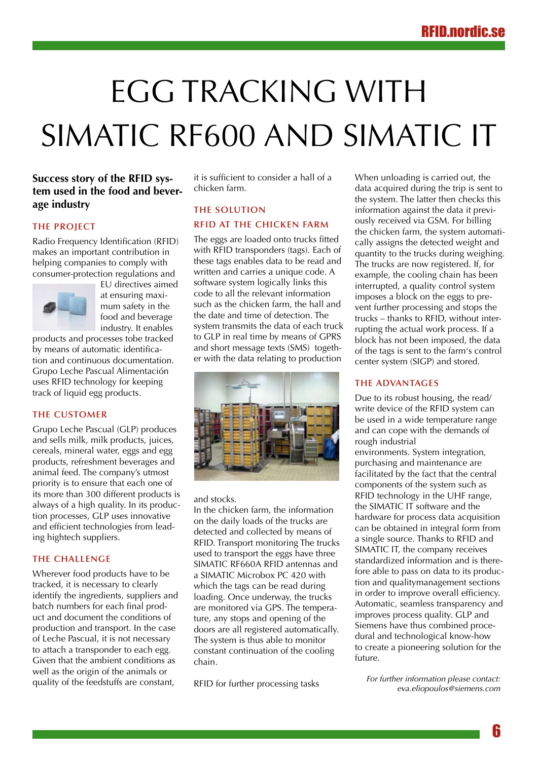# <span id="page-5-0"></span>EGG TRACKING WITH SIMATIC RF600 and SIMATIC IT

### **Success story of the RFID system used in the food and beverage industry**

#### **The project**

Radio Frequency Identification (RFID) makes an important contribution in helping companies to comply with consumer-protection regulations and



EU directives aimed at ensuring maximum safety in the food and beverage industry. It enables

products and processes tobe tracked by means of automatic identification and continuous documentation. Grupo Leche Pascual Alimentación uses RFID technology for keeping track of liquid egg products.

#### **The customer**

Grupo Leche Pascual (GLP) produces and sells milk, milk products, juices, cereals, mineral water, eggs and egg products, refreshment beverages and animal feed. The company's utmost priority is to ensure that each one of its more than 300 different products is always of a high quality. In its production processes, GLP uses innovative and efficient technologies from leading hightech suppliers.

#### **The challenge**

Wherever food products have to be tracked, it is necessary to clearly identify the ingredients, suppliers and batch numbers for each final product and document the conditions of production and transport. In the case of Leche Pascual, it is not necessary to attach a transponder to each egg. Given that the ambient conditions as well as the origin of the animals or quality of the feedstuffs are constant,

it is sufficient to consider a hall of a chicken farm.

### **The solution RFID at the chicken farm**

The eggs are loaded onto trucks fitted with RFID transponders (tags). Each of these tags enables data to be read and written and carries a unique code. A software system logically links this code to all the relevant information such as the chicken farm, the hall and the date and time of detection. The system transmits the data of each truck to GLP in real time by means of GPRS and short message texts (SMS) together with the data relating to production



#### and stocks.

In the chicken farm, the information on the daily loads of the trucks are detected and collected by means of RFID. Transport monitoring The trucks used to transport the eggs have three SIMATIC RF660A RFID antennas and a SIMATIC Microbox PC 420 with which the tags can be read during loading. Once underway, the trucks are monitored via GPS. The temperature, any stops and opening of the doors are all registered automatically. The system is thus able to monitor constant continuation of the cooling chain.

RFID for further processing tasks

When unloading is carried out, the data acquired during the trip is sent to the system. The latter then checks this information against the data it previously received via GSM. For billing the chicken farm, the system automatically assigns the detected weight and quantity to the trucks during weighing. The trucks are now registered. If, for example, the cooling chain has been interrupted, a quality control system imposes a block on the eggs to prevent further processing and stops the trucks – thanks to RFID, without interrupting the actual work process. If a block has not been imposed, the data of the tags is sent to the farm's control center system (SIGP) and stored.

#### **The advantages**

Due to its robust housing, the read/ write device of the RFID system can be used in a wide temperature range and can cope with the demands of rough industrial

environments. System integration, purchasing and maintenance are facilitated by the fact that the central components of the system such as RFID technology in the UHF range, the SIMATIC IT software and the hardware for process data acquisition can be obtained in integral form from a single source. Thanks to RFID and SIMATIC IT, the company receives standardized information and is therefore able to pass on data to its production and qualitymanagement sections in order to improve overall efficiency. Automatic, seamless transparency and improves process quality. GLP and Siemens have thus combined procedural and technological know-how to create a pioneering solution for the future.

*For further information please contact: eva.eliopoulos@siemens.com*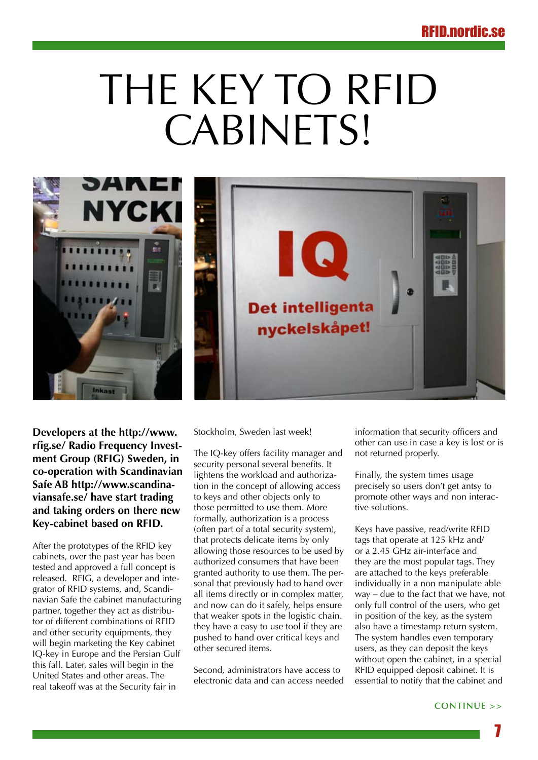# <span id="page-6-0"></span>The Key to RFID CABINETS!



**Developers at the http://www. rfig.se/ Radio Frequency Investment Group (RFIG) Sweden, in co-operation with Scandinavian Safe AB http://www.scandinaviansafe.se/ have start trading and taking orders on there new Key-cabinet based on RFID.** 

After the prototypes of the RFID key cabinets, over the past year has been tested and approved a full concept is released. RFIG, a developer and integrator of RFID systems, and, Scandinavian Safe the cabinet manufacturing partner, together they act as distributor of different combinations of RFID and other security equipments, they will begin marketing the Key cabinet IQ-key in Europe and the Persian Gulf this fall. Later, sales will begin in the United States and other areas. The real takeoff was at the Security fair in

Stockholm, Sweden last week!

The IQ-key offers facility manager and security personal several benefits. It lightens the workload and authorization in the concept of allowing access to keys and other objects only to those permitted to use them. More formally, authorization is a process (often part of a total security system), that protects delicate items by only allowing those resources to be used by authorized consumers that have been granted authority to use them. The personal that previously had to hand over all items directly or in complex matter, and now can do it safely, helps ensure that weaker spots in the logistic chain. they have a easy to use tool if they are pushed to hand over critical keys and other secured items.

Second, administrators have access to electronic data and can access needed

information that security officers and other can use in case a key is lost or is not returned properly.

Finally, the system times usage precisely so users don't get antsy to promote other ways and non interactive solutions.

Keys have passive, read/write RFID tags that operate at 125 kHz and/ or a 2.45 GHz air-interface and they are the most popular tags. They are attached to the keys preferable individually in a non manipulate able way – due to the fact that we have, not only full control of the users, who get in position of the key, as the system also have a timestamp return system. The system handles even temporary users, as they can deposit the keys without open the cabinet, in a special RFID equipped deposit cabinet. It is essential to notify that the cabinet and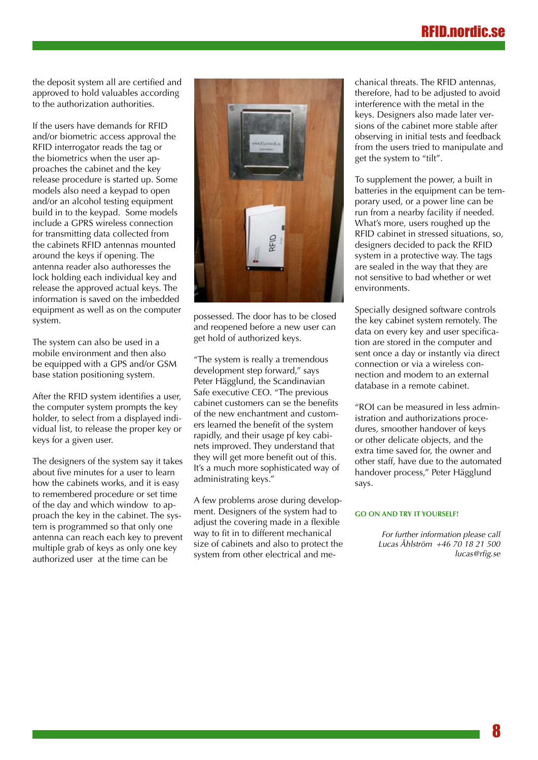## RFIN norr

the deposit system all are certified and approved to hold valuables according to the authorization authorities.

If the users have demands for RFID and/or biometric access approval the RFID interrogator reads the tag or the biometrics when the user approaches the cabinet and the key release procedure is started up. Some models also need a keypad to open and/or an alcohol testing equipment build in to the keypad. Some models include a GPRS wireless connection for transmitting data collected from the cabinets RFID antennas mounted around the keys if opening. The antenna reader also authoresses the lock holding each individual key and release the approved actual keys. The information is saved on the imbedded equipment as well as on the computer system.

The system can also be used in a mobile environment and then also be equipped with a GPS and/or GSM base station positioning system.

After the RFID system identifies a user, the computer system prompts the key holder, to select from a displayed individual list, to release the proper key or keys for a given user.

The designers of the system say it takes about five minutes for a user to learn how the cabinets works, and it is easy to remembered procedure or set time of the day and which window to approach the key in the cabinet. The system is programmed so that only one antenna can reach each key to prevent multiple grab of keys as only one key authorized user at the time can be



possessed. The door has to be closed and reopened before a new user can get hold of authorized keys.

"The system is really a tremendous development step forward," says Peter Hägglund, the Scandinavian Safe executive CEO. "The previous cabinet customers can se the benefits of the new enchantment and customers learned the benefit of the system rapidly, and their usage pf key cabinets improved. They understand that they will get more benefit out of this. It's a much more sophisticated way of administrating keys."

A few problems arose during development. Designers of the system had to adjust the covering made in a flexible way to fit in to different mechanical size of cabinets and also to protect the system from other electrical and me-

chanical threats. The RFID antennas, therefore, had to be adjusted to avoid interference with the metal in the keys. Designers also made later versions of the cabinet more stable after observing in initial tests and feedback from the users tried to manipulate and get the system to "tilt".

To supplement the power, a built in batteries in the equipment can be temporary used, or a power line can be run from a nearby facility if needed. What's more, users roughed up the RFID cabinet in stressed situations, so, designers decided to pack the RFID system in a protective way. The tags are sealed in the way that they are not sensitive to bad whether or wet environments.

Specially designed software controls the key cabinet system remotely. The data on every key and user specification are stored in the computer and sent once a day or instantly via direct connection or via a wireless connection and modem to an external database in a remote cabinet.

"ROI can be measured in less administration and authorizations procedures, smoother handover of keys or other delicate objects, and the extra time saved for, the owner and other staff, have due to the automated handover process," Peter Hägglund says.

#### **Go on and try it yourself!**

*For further information please call Lucas Åhlström +46 70 18 21 500 lucas@rfig.se*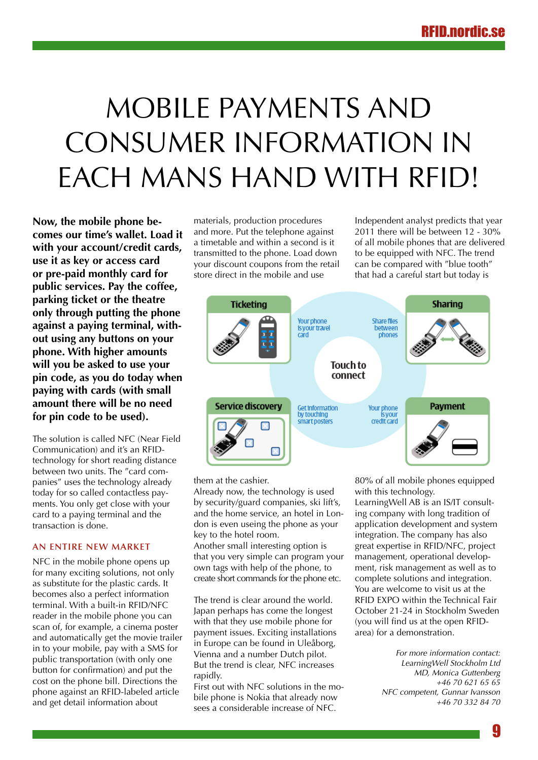# <span id="page-8-0"></span>Mobile payments and consumer information in EACH MANS HAND WITH RFID!

**Now, the mobile phone becomes our time's wallet. Load it with your account/credit cards, use it as key or access card or pre-paid monthly card for public services. Pay the coffee, parking ticket or the theatre only through putting the phone against a paying terminal, without using any buttons on your phone. With higher amounts will you be asked to use your pin code, as you do today when paying with cards (with small amount there will be no need for pin code to be used).**

The solution is called NFC (Near Field Communication) and it's an RFIDtechnology for short reading distance between two units. The "card companies" uses the technology already today for so called contactless payments. You only get close with your card to a paying terminal and the transaction is done.

#### **An entire new market**

NFC in the mobile phone opens up for many exciting solutions, not only as substitute for the plastic cards. It becomes also a perfect information terminal. With a built-in RFID/NFC reader in the mobile phone you can scan of, for example, a cinema poster and automatically get the movie trailer in to your mobile, pay with a SMS for public transportation (with only one button for confirmation) and put the cost on the phone bill. Directions the phone against an RFID-labeled article and get detail information about

materials, production procedures and more. Put the telephone against a timetable and within a second is it transmitted to the phone. Load down your discount coupons from the retail store direct in the mobile and use

Independent analyst predicts that year 2011 there will be between 12 - 30% of all mobile phones that are delivered to be equipped with NFC. The trend can be compared with "blue tooth" that had a careful start but today is



them at the cashier.

Already now, the technology is used by security/guard companies, ski lift's, and the home service, an hotel in London is even useing the phone as your key to the hotel room.

Another small interesting option is that you very simple can program your own tags with help of the phone, to create short commands for the phone etc.

The trend is clear around the world. Japan perhaps has come the longest with that they use mobile phone for payment issues. Exciting installations in Europe can be found in Uleåborg, Vienna and a number Dutch pilot. But the trend is clear, NFC increases rapidly.

First out with NFC solutions in the mobile phone is Nokia that already now sees a considerable increase of NFC.

80% of all mobile phones equipped with this technology.

LearningWell AB is an IS/IT consulting company with long tradition of application development and system integration. The company has also great expertise in RFID/NFC, project management, operational development, risk management as well as to complete solutions and integration. You are welcome to visit us at the RFID EXPO within the Technical Fair October 21-24 in Stockholm Sweden (you will find us at the open RFIDarea) for a demonstration.

> *For more information contact: LearningWell Stockholm Ltd MD, Monica Guttenberg +46 70 621 65 65 NFC competent, Gunnar Ivansson +46 70 332 84 70*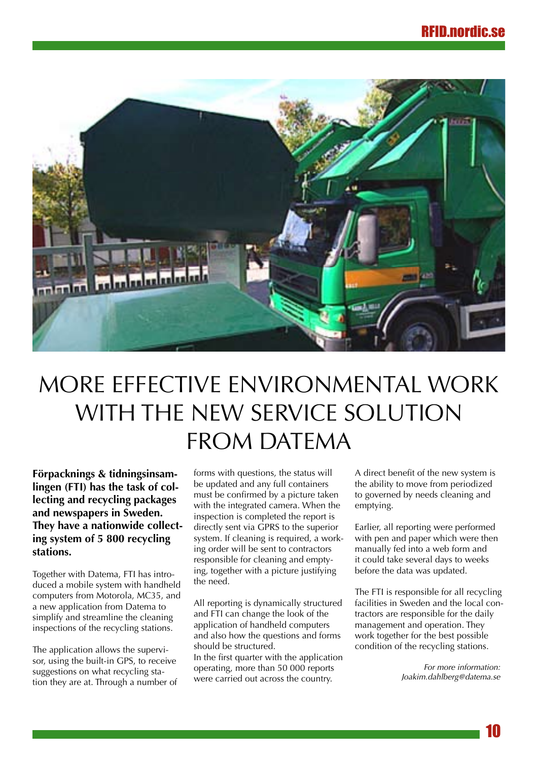<span id="page-9-0"></span>

# More effective environmental work with the new service solution FROM DATFMA

**Förpacknings & tidningsinsamlingen (FTI) has the task of collecting and recycling packages and newspapers in Sweden. They have a nationwide collecting system of 5 800 recycling stations.** 

Together with Datema, FTI has introduced a mobile system with handheld computers from Motorola, MC35, and a new application from Datema to simplify and streamline the cleaning inspections of the recycling stations.

The application allows the supervisor, using the built-in GPS, to receive suggestions on what recycling station they are at. Through a number of forms with questions, the status will be updated and any full containers must be confirmed by a picture taken with the integrated camera. When the inspection is completed the report is directly sent via GPRS to the superior system. If cleaning is required, a working order will be sent to contractors responsible for cleaning and emptying, together with a picture justifying the need.

All reporting is dynamically structured and FTI can change the look of the application of handheld computers and also how the questions and forms should be structured. In the first quarter with the application operating, more than 50 000 reports were carried out across the country.

A direct benefit of the new system is the ability to move from periodized to governed by needs cleaning and emptying.

Earlier, all reporting were performed with pen and paper which were then manually fed into a web form and it could take several days to weeks before the data was updated.

The FTI is responsible for all recycling facilities in Sweden and the local contractors are responsible for the daily management and operation. They work together for the best possible condition of the recycling stations.

> *For more information: Joakim.dahlberg@datema.se*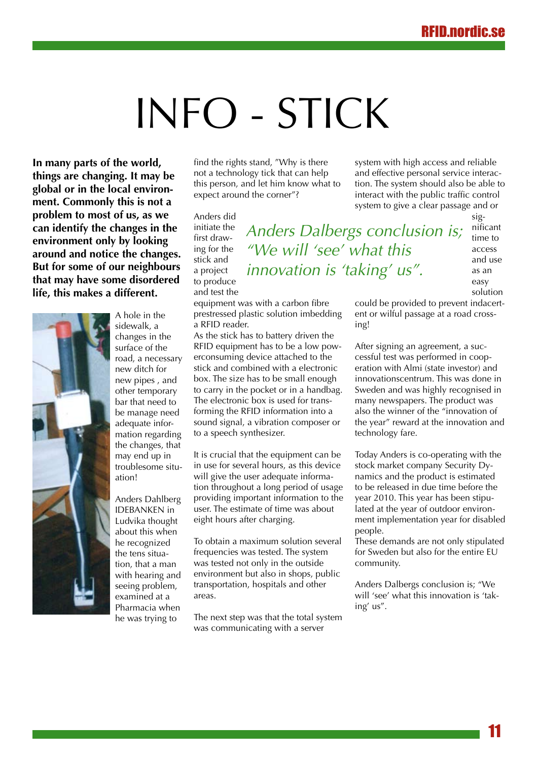# INFO - STICK

<span id="page-10-0"></span>**In many parts of the world, things are changing. It may be global or in the local environment. Commonly this is not a problem to most of us, as we can identify the changes in the environment only by looking around and notice the changes. But for some of our neighbours that may have some disordered life, this makes a different.**



A hole in the sidewalk, a changes in the surface of the road, a necessary new ditch for new pipes , and other temporary bar that need to be manage need adequate information regarding the changes, that may end up in troublesome situation!

Anders Dahlberg IDEBANKEN in Ludvika thought about this when he recognized the tens situation, that a man with hearing and seeing problem, examined at a Pharmacia when he was trying to

find the rights stand, "Why is there not a technology tick that can help this person, and let him know what to expect around the corner"?

Anders did initiate the first drawing for the stick and a project to produce and test the

equipment was with a carbon fibre prestressed plastic solution imbedding a RFID reader.

*"We will 'see' what this* 

*innovation is 'taking' us".*

As the stick has to battery driven the RFID equipment has to be a low powerconsuming device attached to the stick and combined with a electronic box. The size has to be small enough to carry in the pocket or in a handbag. The electronic box is used for transforming the RFID information into a sound signal, a vibration composer or to a speech synthesizer.

It is crucial that the equipment can be in use for several hours, as this device will give the user adequate information throughout a long period of usage providing important information to the user. The estimate of time was about eight hours after charging.

To obtain a maximum solution several frequencies was tested. The system was tested not only in the outside environment but also in shops, public transportation, hospitals and other areas.

The next step was that the total system was communicating with a server

system with high access and reliable and effective personal service interaction. The system should also be able to interact with the public traffic control system to give a clear passage and or

significant time to access and use as an easy *Anders Dalbergs conclusion is;* 

solution could be provided to prevent indacertent or wilful passage at a road crossing!

After signing an agreement, a successful test was performed in cooperation with Almi (state investor) and innovationscentrum. This was done in Sweden and was highly recognised in many newspapers. The product was also the winner of the "innovation of the year" reward at the innovation and technology fare.

Today Anders is co-operating with the stock market company Security Dynamics and the product is estimated to be released in due time before the year 2010. This year has been stipulated at the year of outdoor environment implementation year for disabled people.

These demands are not only stipulated for Sweden but also for the entire EU community.

Anders Dalbergs conclusion is; "We will 'see' what this innovation is 'taking' us".

11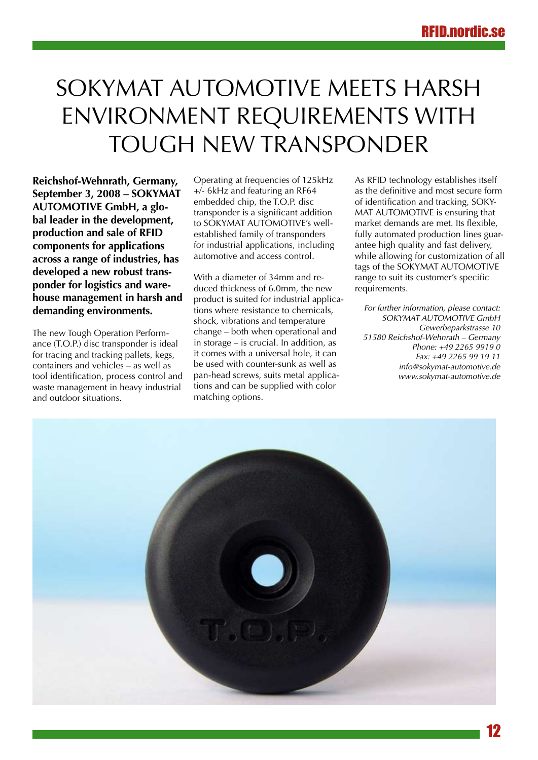# <span id="page-11-0"></span>SOKYMAT AUTOMOTIVE MEETS HARSH environment requirements with tough new transponder

**Reichshof-Wehnrath, Germany, September 3, 2008 – SOKYMAT AUTOMOTIVE GmbH, a global leader in the development, production and sale of RFID components for applications across a range of industries, has developed a new robust transponder for logistics and warehouse management in harsh and demanding environments.**

The new Tough Operation Performance (T.O.P.) disc transponder is ideal for tracing and tracking pallets, kegs, containers and vehicles – as well as tool identification, process control and waste management in heavy industrial and outdoor situations.

Operating at frequencies of 125kHz +/- 6kHz and featuring an RF64 embedded chip, the T.O.P. disc transponder is a significant addition to SOKYMAT AUTOMOTIVE's wellestablished family of transponders for industrial applications, including automotive and access control.

With a diameter of 34mm and reduced thickness of 6.0mm, the new product is suited for industrial applications where resistance to chemicals, shock, vibrations and temperature change – both when operational and in storage – is crucial. In addition, as it comes with a universal hole, it can be used with counter-sunk as well as pan-head screws, suits metal applications and can be supplied with color matching options.

As RFID technology establishes itself as the definitive and most secure form of identification and tracking, SOKY-MAT AUTOMOTIVE is ensuring that market demands are met. Its flexible, fully automated production lines guarantee high quality and fast delivery, while allowing for customization of all tags of the SOKYMAT AUTOMOTIVE range to suit its customer's specific requirements.

*For further information, please contact: SOKYMAT AUTOMOTIVE GmbH Gewerbeparkstrasse 10 51580 Reichshof-Wehnrath – Germany Phone: +49 2265 9919 0 Fax: +49 2265 99 19 11 info@sokymat-automotive.de www.sokymat-automotive.de*

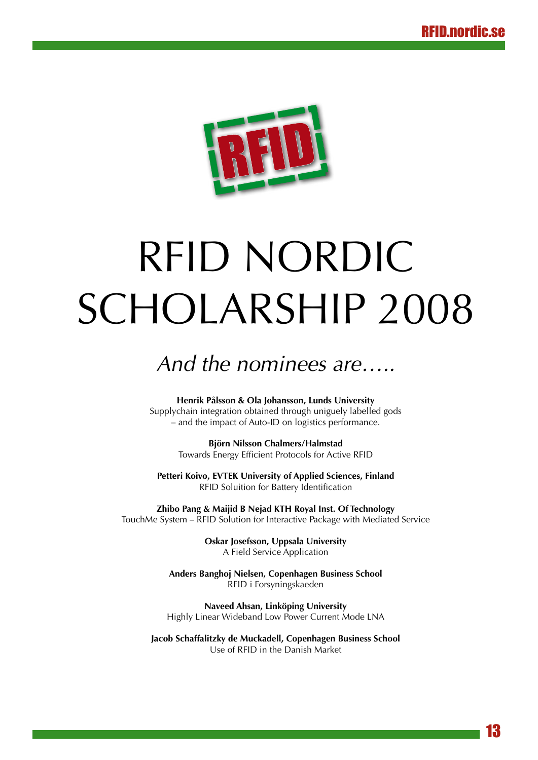<span id="page-12-0"></span>

# RFID NORDIC Scholarship 2008

# *And the nominees are…..*

**Henrik Pålsson & Ola Johansson, Lunds University** Supplychain integration obtained through uniguely labelled gods – and the impact of Auto-ID on logistics performance.

> **Björn Nilsson Chalmers/Halmstad** Towards Energy Efficient Protocols for Active RFID

**Petteri Koivo, EVTEK University of Applied Sciences, Finland** RFID Soluition for Battery Identification

**Zhibo Pang & Maijid B Nejad KTH Royal Inst. Of Technology** TouchMe System – RFID Solution for Interactive Package with Mediated Service

> **Oskar Josefsson, Uppsala University** A Field Service Application

**Anders Banghoj Nielsen, Copenhagen Business School** RFID i Forsyningskaeden

**Naveed Ahsan, Linköping University** Highly Linear Wideband Low Power Current Mode LNA

**Jacob Schaffalitzky de Muckadell, Copenhagen Business School** Use of RFID in the Danish Market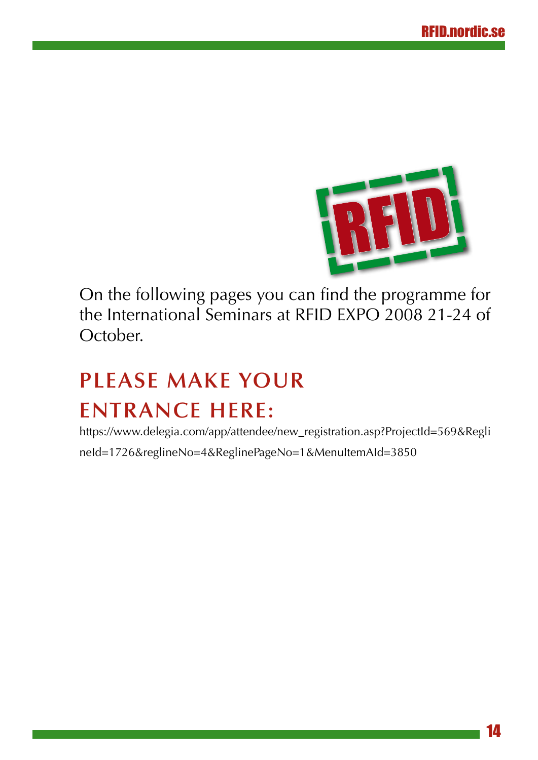

<span id="page-13-0"></span>On the following pages you can find the programme for the International Seminars at RFID EXPO 2008 21-24 of October.

# **Please make your Entrance here:**

[https://www.delegia.com/app/attendee/new\\_registration.asp?ProjectId=569&Regli](https://www.delegia.com/app/attendee/new_registration.asp?ProjectId=569&ReglineId=1726®lineNo=4&ReglinePageNo=1&MenuItemAId=3850) [neId=1726&reglineNo=4&ReglinePageNo=1&MenuItemAId=3850](https://www.delegia.com/app/attendee/new_registration.asp?ProjectId=569&ReglineId=1726®lineNo=4&ReglinePageNo=1&MenuItemAId=3850)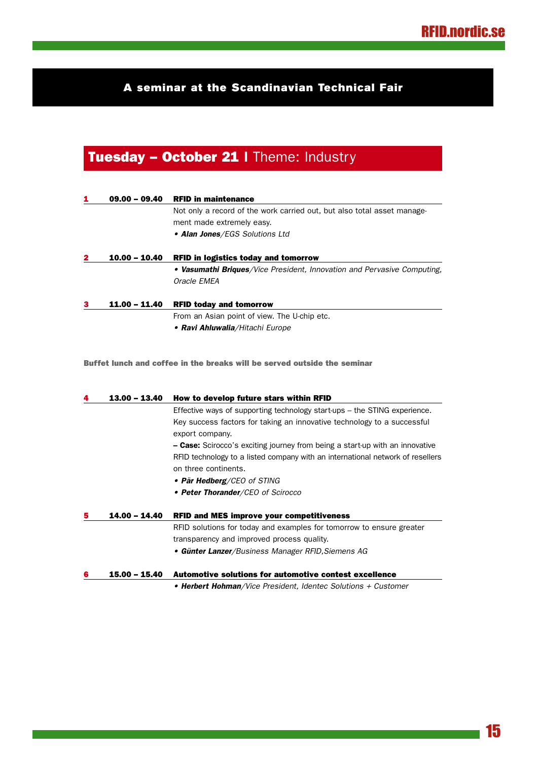# Tuesday - October 21 I Theme: Industry

| 1           | $09.00 - 09.40$ | <b>RFID in maintenance</b>                                              |
|-------------|-----------------|-------------------------------------------------------------------------|
|             |                 | Not only a record of the work carried out, but also total asset manage- |
|             |                 | ment made extremely easy.                                               |
|             |                 | • Alan Jones/EGS Solutions Ltd                                          |
| $\mathbf 2$ | $10.00 - 10.40$ | <b>RFID in logistics today and tomorrow</b>                             |
|             |                 | • Vasumathi Briques/Vice President, Innovation and Pervasive Computing, |
|             |                 | Oracle EMEA                                                             |
| з           | $11.00 - 11.40$ | <b>RFID today and tomorrow</b>                                          |
|             |                 | From an Asian point of view. The U-chip etc.                            |
|             |                 | • Ravi Ahluwalia/Hitachi Europe                                         |

Buffet lunch and coffee in the breaks will be served outside the seminar

| 4 | $13.00 - 13.40$ | How to develop future stars within RFID                                             |
|---|-----------------|-------------------------------------------------------------------------------------|
|   |                 | Effective ways of supporting technology start-ups – the STING experience.           |
|   |                 | Key success factors for taking an innovative technology to a successful             |
|   |                 | export company.                                                                     |
|   |                 | <b>- Case:</b> Scirocco's exciting journey from being a start-up with an innovative |
|   |                 | RFID technology to a listed company with an international network of resellers      |
|   |                 | on three continents.                                                                |
|   |                 | • Pär Hedberg/CEO of STING                                                          |
|   |                 | • Peter Thorander/CEO of Scirocco                                                   |
| 5 | $14.00 - 14.40$ | <b>RFID and MES improve your competitiveness</b>                                    |
|   |                 | RFID solutions for today and examples for tomorrow to ensure greater                |
|   |                 | transparency and improved process quality.                                          |
|   |                 | • Günter Lanzer/Business Manager RFID, Siemens AG                                   |
| 6 | $15.00 - 15.40$ | Automotive solutions for automotive contest excellence                              |
|   |                 | • <b>Herbert Hohman</b> /Vice President, Identec Solutions + Customer               |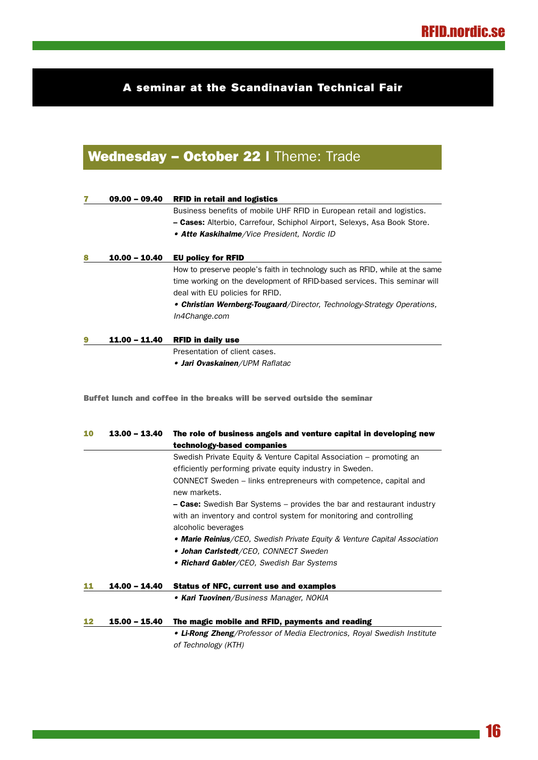# Wednesday - October 22 | Theme: Trade

| $09.00 - 09.40$ | <b>RFID in retail and logistics</b>                                             |
|-----------------|---------------------------------------------------------------------------------|
|                 | Business benefits of mobile UHF RFID in European retail and logistics.          |
|                 | <b>- Cases:</b> Alterbio, Carrefour, Schiphol Airport, Selexys, Asa Book Store. |
|                 | • Atte Kaskihalme/Vice President, Nordic ID                                     |
| $10.00 - 10.40$ | <b>EU policy for RFID</b>                                                       |
|                 | How to preserve people's faith in technology such as RFID, while at the same    |
|                 | time working on the development of RFID-based services. This seminar will       |
|                 | deal with EU policies for RFID.                                                 |
|                 | • Christian Wernberg-Tougaard/Director, Technology-Strategy Operations,         |
|                 | In4Change.com                                                                   |
|                 |                                                                                 |
| 11.00 - 11.40   | <b>RFID in daily use</b><br>Drogantation of olignt conco                        |

Presentation of client cases.

*• Jari Ovaskainen/UPM Raflatac*

Buffet lunch and coffee in the breaks will be served outside the seminar

| 10 | $13.00 - 13.40$ | The role of business angels and venture capital in developing new             |
|----|-----------------|-------------------------------------------------------------------------------|
|    |                 | technology-based companies                                                    |
|    |                 | Swedish Private Equity & Venture Capital Association – promoting an           |
|    |                 | efficiently performing private equity industry in Sweden.                     |
|    |                 | CONNECT Sweden – links entrepreneurs with competence, capital and             |
|    |                 | new markets.                                                                  |
|    |                 | <b>- Case:</b> Swedish Bar Systems – provides the bar and restaurant industry |
|    |                 | with an inventory and control system for monitoring and controlling           |
|    |                 | alcoholic beverages                                                           |
|    |                 | • Marie Reinius/CEO, Swedish Private Equity & Venture Capital Association     |
|    |                 | · Johan Carlstedt/CEO, CONNECT Sweden                                         |
|    |                 | • Richard Gabler/CEO, Swedish Bar Systems                                     |
|    | 14.00 - 14.40   | <b>Status of NFC, current use and examples</b>                                |
|    |                 | • Kari Tuovinen/Business Manager, NOKIA                                       |
| 12 | $15.00 - 15.40$ | The magic mobile and RFID, payments and reading                               |
|    |                 | • Li-Rong Zheng/Professor of Media Electronics, Royal Swedish Institute       |
|    |                 | of Technology (KTH)                                                           |
|    |                 |                                                                               |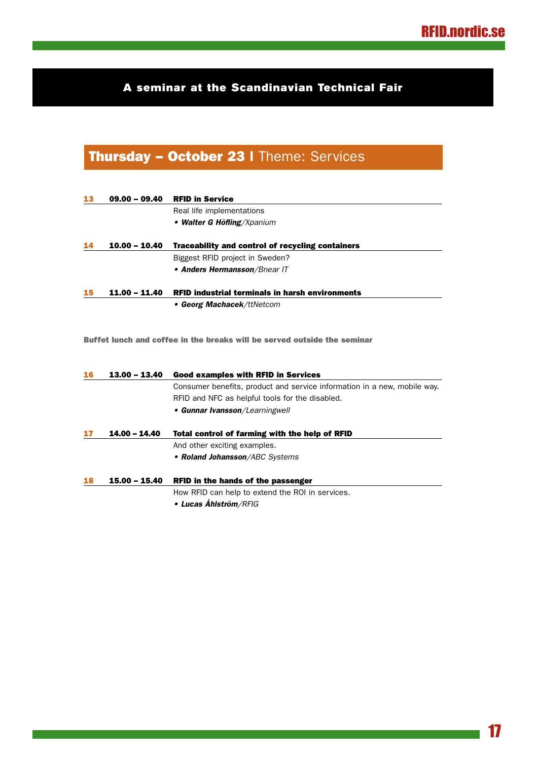## **Thursday - October 23 I** Theme: Services

| 13 | $09.00 - 09.40$ | <b>RFID in Service</b>                                                   |
|----|-----------------|--------------------------------------------------------------------------|
|    |                 | Real life implementations                                                |
|    |                 | • Walter G Höfling/Xpanium                                               |
| 14 | $10.00 - 10.40$ | Traceability and control of recycling containers                         |
|    |                 | Biggest RFID project in Sweden?                                          |
|    |                 | • Anders Hermansson/Bnear IT                                             |
| 15 | $11.00 - 11.40$ | <b>RFID industrial terminals in harsh environments</b>                   |
|    |                 | • Georg Machacek/ttNetcom                                                |
|    |                 |                                                                          |
|    |                 | Buffet lunch and coffee in the breaks will be served outside the seminar |
|    |                 |                                                                          |

| 16 | $13.00 - 13.40$ | <b>Good examples with RFID in Services</b>                               |
|----|-----------------|--------------------------------------------------------------------------|
|    |                 | Consumer benefits, product and service information in a new, mobile way. |
|    |                 | RFID and NFC as helpful tools for the disabled.                          |
|    |                 | • Gunnar Ivansson/Learningwell                                           |
|    | 14.00 - 14.40   | Total control of farming with the help of RFID                           |
|    |                 | And other exciting examples.                                             |
|    |                 | • Roland Johansson/ABC Systems                                           |
| 18 | $15.00 - 15.40$ | RFID in the hands of the passenger                                       |
|    |                 | How RFID can help to extend the ROI in services.                         |
|    |                 | • Lucas Åhiström/RFIG                                                    |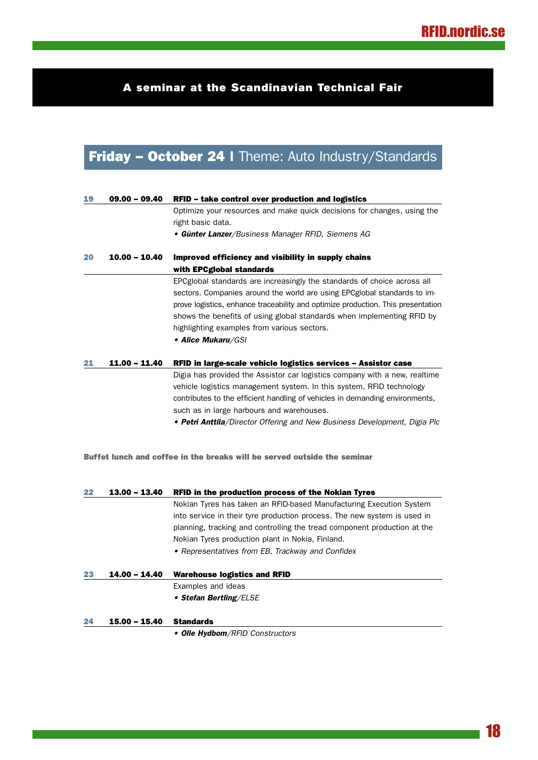## Friday - October 24 I Theme: Auto Industry/Standards

| 19 | $09.00 - 09.40$ | RFID - take control over production and logistics                                                                                                                                                                                                                               |
|----|-----------------|---------------------------------------------------------------------------------------------------------------------------------------------------------------------------------------------------------------------------------------------------------------------------------|
|    |                 | Optimize your resources and make quick decisions for changes, using the                                                                                                                                                                                                         |
|    |                 | right basic data.                                                                                                                                                                                                                                                               |
|    |                 | • Günter Lanzer/Business Manager RFID, Siemens AG                                                                                                                                                                                                                               |
| 20 | $10.00 - 10.40$ | Improved efficiency and visibility in supply chains                                                                                                                                                                                                                             |
|    |                 | with EPCglobal standards                                                                                                                                                                                                                                                        |
|    |                 | EPCglobal standards are increasingly the standards of choice across all                                                                                                                                                                                                         |
|    |                 | sectors. Companies around the world are using EPCglobal standards to im-<br>prove logistics, enhance traceability and optimize production. This presentation                                                                                                                    |
|    |                 | shows the benefits of using global standards when implementing RFID by<br>highlighting examples from various sectors.                                                                                                                                                           |
|    |                 | • Alice Mukaru/GSI                                                                                                                                                                                                                                                              |
| 21 | $11.00 - 11.40$ | RFID in large-scale vehicle logistics services - Assistor case                                                                                                                                                                                                                  |
|    |                 | Digia has provided the Assistor car logistics company with a new, realtime<br>vehicle logistics management system. In this system, RFID technology<br>contributes to the efficient handling of vehicles in demanding environments,<br>such as in large harbours and warehouses. |
|    |                 | • Petri Anttila/Director Offering and New Business Development, Digia Plc                                                                                                                                                                                                       |
|    |                 | Buffet lunch and coffee in the breaks will be served outside the seminar                                                                                                                                                                                                        |
| 22 | 13.00 - 13.40   | RFID in the production process of the Nokian Tyres                                                                                                                                                                                                                              |
|    |                 | Nokian Tyres has taken an RFID-based Manufacturing Execution System                                                                                                                                                                                                             |
|    |                 | into service in their tyre production process. The new system is used in                                                                                                                                                                                                        |
|    |                 | planning, tracking and controlling the tread component production at the                                                                                                                                                                                                        |
|    |                 | Nokian Tyres production plant in Nokia, Finland.                                                                                                                                                                                                                                |
|    |                 | • Representatives from EB, Trackway and Confidex                                                                                                                                                                                                                                |

| 23 | 14.00 - 14.40   | <b>Warehouse logistics and RFID</b> |
|----|-----------------|-------------------------------------|
|    |                 | Examples and ideas                  |
|    |                 | • Stefan Bertling/ELSE              |
| 24 | $15.00 - 15.40$ | <b>Standards</b>                    |
|    |                 | • Olle Hydbom/RFID Constructors     |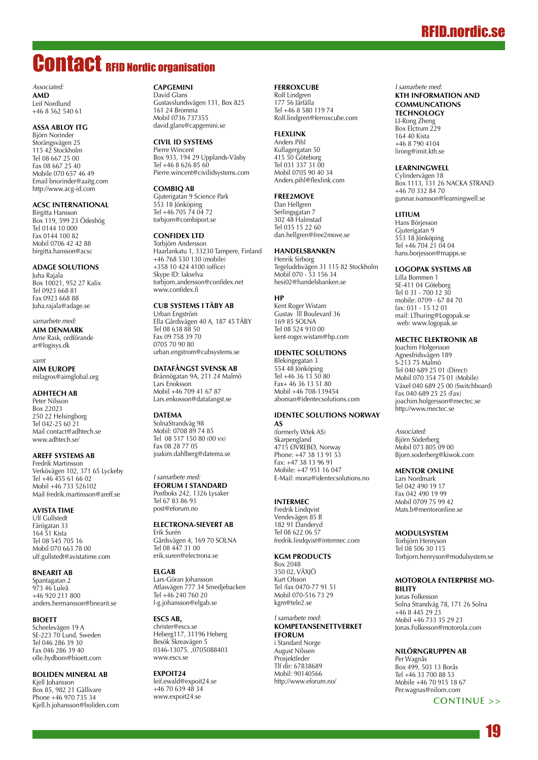## RFID.nordic.se

# Contact RFID Nordic organisation

*Associated:* **AMD** Leif Nordlund +46 8 562 540 61

#### **Assa Abloy ITG**

Björn Norinder Storängsvägen 25 115 42 Stockholm Tel 08 667 25 00 Fax 08 667 25 40 Mobile 070 657 46 49 Email bnorinder@aaitg.com http://www.acg-id.com

**ACSC International**

Birgitta Hansson Box 119, 599 23 Ödeshög Tel 0144 10 000 Fax 0144 100 82 Mobil 0706 42 42 88 birgitta.hansson@acsc

#### **ADAGE Solutions**

Juha Rajala Box 10021, 952 27 Kalix Tel 0923 668 81 Fax 0923 668 88 Juha.rajala@adage.se

*samarbete med:* **AIM Denmark** Arne Rask, ordförande ar@logisys.dk

#### *samt* **AIM Europe** milagros@aimglobal.org

#### **AdhTech AB**

Peter Nilsson Box 22023 250 22 Helsingborg Tel 042-25 60 21 Mail contact@adhtech.se www.adhtech.se/

#### **Areff Systems AB**

Fredrik Martinsson Verkövägen 102, 371 65 Lyckeby Tel +46 455 61 66 02 Mobil +46 733 526102 Mail fredrik.martinsson@areff.se

#### **AVISTA TIME**

Ulf Gullstedt Färögatan 33 164 51 Kista Tel 08 545 705 16 Mobil 070 663 78 00 ulf.gullstedt@avistatime.com

#### **BnearIT AB**

Spantagatan 2 973 46 Luleå +46 920 211 800 anders.hermansson@bnearit.se

#### **BIOETT**

Scheelevägen 19 A SE-223 70 Lund, Sweden Tel 046 286 39 30 Fax 046 286 39 40 olle.hydbom@bioett.com

**BOLIDEN Mineral AB** Kjell Johansson Box 85, 982 21 Gällivare Phone +46 970 735 34 Kjell.h.johansson@boliden.com

#### **CAPGEMINI**

David Glans Gustavslundsvägen 131, Box 825 161 24 Bromma Mobil 0736 737355 david.glans@capgemini.se

#### **Civil ID Systems**

Pierre Wincent Box 933, 194 29 Upplands-Väsby Tel +46 8 626 85 60 Pierre.wincent@civilidsystems.com

#### **CombiQ AB** Gjuterigatan 9 Science Park

553 18 Jönköping Tel +46 705 74 04 72 torbjorn@combiport.se

#### **CONFIDEX LTD** Torbjörn Andersson

Haarlankatu 1, 33230 Tampere, Finland +46 768 530 130 (mobile) +358 10 424 4100 (office) Skype ID: lakselva torbjorn.andersson@confidex.net www.confidex.fi

#### **CUB Systems i Täby AB**

Urban Engström Ella Gårdsvägen 40 A, 187 45 TÄBY Tel 08 638 88 50 Fax 09 758 39 70 0705 70 90 80 urban.engstrom@cubsystems.se

#### **DATAFÅNGST svensk AB**

Brännögatan 9A, 211 24 Malmö Lars Enoksson Mobil +46 709 41 67 87 Lars.enkosson@datafangst.se

#### **DATEMA**

SolnaStrandväg 98 Mobil: 0708 89 74 85 Tel 08 517 150 80 (00 vx) Fax 08 28 77 05 joakim.dahlberg@datema.se

#### *I samarbete med:* **Eforum i Standard** Postboks 242, 1326 Lysaker Tel 67 83 86 93 post@eforum.no

**Electrona-Sievert AB** Erik Surén Gårdsvägen 4, 169 70 SOLNA Tel 08 447 31 00 erik.suren@electrona.se

#### **ELGAB**

Lars-Göran Johansson Atlasvägen 777 34 Smedjebacken Tel +46 240 760 20 l-g.johansson@elgab.se

#### **ESCS AB,**

christer@escs.se Heberg117, 31196 Heberg Besök Skreavägen 5 0346-13075.,0705088403 www.escs.se

#### **ExpoIT24**

leif.ewald@expoit24.se +46 70 639 48 34 www.expoit24.se

#### **FERROXCUBE**

Rolf Lindgren 177 56 Järfälla Tel +46 8 580 119 74 Rolf.lindgren@ferroxcube.com

#### **FlexLink**

Anders Pihl Kullagergatan 50 415 50 Göteborg Tel 031 337 31 00 Mobil 0705 90 40 34 Anders.pihl@flexlink.com

#### **FREE2MOVE**

Dan Hellgren Serlingsgatan 7 302 48 Halmstad Tel 035 15 22 60 dan.hellgren@free2move.se

#### **Handelsbanken**

Henrik Sirborg Tegeluddsvägen 31 115 82 Stockholm Mobil 070 - 53 156 34 hesi02@handelsbanken.se

#### **HP**

Kent Roger Wistam Gustav lll Boulevard 36 169 85 SOLNA Tel 08 524 910 00 kent-roger.wistam@hp.com

#### **IDENTEC SOLUTIONS**

Blekingegatan 3 554 48 Jönköping Tel +46 36 13 50 80 Fax+ 46 36 13 51 80 Mobil +46 708-139454 aboman@identecsolutions.com

#### **IDENTEC SOLUTIONS Norway AS**

(formerly Wtek AS) Skarpengland 4715 ØVREBØ, Norway Phone: +47 38 13 91 53 Fax: +47 38 13 96 91 Mobile: +47 951 16 047 E-Mail: mona@identecsolutions.no

#### **INTERMEC**

Fredrik Lindqvist Vendevägen 85 B 182 91 Danderyd Tel 08 622 06 57 fredrik.lindqvist@intermec.com

#### **KGM Products**

Box 2048 350 02, VÄXJÖ Kurt Olsson Tel /fax 0470-77 91 51 Mobil 070-516 73 29 kgm@tele2.se

#### *I samarbete med:* **Kompetansenettverket eforum**

i Standard Norge August Nilssen Prosjektleder Tlf dir: 67838689 Mobil: 90140566 http://www.eforum.no/

#### *I samarbete med:*

#### **KTH Information and Communcations Technology** LI-Rong Zheng

Box Elctrum 229 164 40 Kista +46 8 790 4104 lirong@imit.kth.se

#### **LearningWell**

Cylindervägen 18 Box 1113, 131 26 NACKA STRAND +46 70 332 84 70 gunnar.ivansson@learningwell.se

#### **LITIUM**

Hans Börjesson Gjuterigatan 9 553 18 Jönköping Tel +46 704 21 04 04 hans.borjesson@mapps.se

#### **Logopak Systems AB**

Lilla Bommen 1 SE-411 04 Göteborg Tel 0 31 - 700 12 30 mobile: 0709 - 67 84 70 fax: 031 - 15 12 01 mail: LThuring@Logopak.se web: www.logopak.se

#### **MECTEC Elektronik AB**

Joachim Holgersson Agnesfridsvägen 189 S-213 75 Malmö Tel 040 689 25 01 (Direct) Mobil 070 354 75 01 (Mobile) Växel 040 689 25 00 (Switchboard) Fax 040 689 25 25 (Fax) joachim.holgersson@mectec.se http://www.mectec.se

*Associated:* Björn Söderberg Mobil 073 805 09 00 Bjorn.soderberg@kiwok.com

#### **MENTOR ONLINE**

Lars Nordmark Tel 042 490 19 17 Fax 042 490 19 99 Mobil 0709 75 99 42 Mats.b@mentoronline.se

#### **MODULSYSTEM**

Torbjörn Henryson Tel 08 506 30 115 Torbjorn.henryson@modulsystem.se

#### **MOTOROLA Enterprise Mobility**

Jonas Folkesson Solna Strandväg 78, 171 26 Solna +46 8 445 29 23 Mobil +46 733 35 29 23 Jonas.Folkesson@motorola.com

#### **NILÖRNGRUPPEN AB**

Per Wagnås Box 499, 503 13 Borås Tel +46 33 700 88 53 Mobile +46 70 915 18 67 Per.wagnas@nilorn.com

**continue >>**